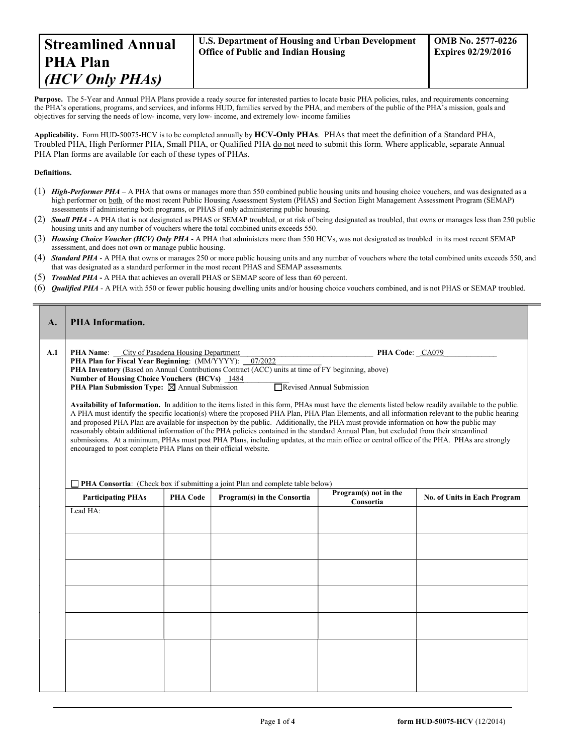Purpose. The 5-Year and Annual PHA Plans provide a ready source for interested parties to locate basic PHA policies, rules, and requirements concerning the PHA's operations, programs, and services, and informs HUD, families served by the PHA, and members of the public of the PHA's mission, goals and objectives for serving the needs of low- income, very low- income, and extremely low- income families

Applicability. Form HUD-50075-HCV is to be completed annually by HCV-Only PHAs. PHAs that meet the definition of a Standard PHA, Troubled PHA, High Performer PHA, Small PHA, or Qualified PHA do not need to submit this form. Where applicable, separate Annual PHA Plan forms are available for each of these types of PHAs.

## Definitions.

- (1) High-Performer PHA A PHA that owns or manages more than 550 combined public housing units and housing choice vouchers, and was designated as a high performer on both of the most recent Public Housing Assessment System (PHAS) and Section Eight Management Assessment Program (SEMAP) assessments if administering both programs, or PHAS if only administering public housing.
- (2) Small PHA A PHA that is not designated as PHAS or SEMAP troubled, or at risk of being designated as troubled, that owns or manages less than 250 public housing units and any number of vouchers where the total combined units exceeds 550.
- (3) Housing Choice Voucher (HCV) Only PHA A PHA that administers more than 550 HCVs, was not designated as troubled in its most recent SEMAP assessment, and does not own or manage public housing.
- (4) **Standard PHA** A PHA that owns or manages 250 or more public housing units and any number of vouchers where the total combined units exceeds 550, and that was designated as a standard performer in the most recent PHAS and SEMAP assessments.
- (5) Troubled PHA A PHA that achieves an overall PHAS or SEMAP score of less than 60 percent.
- (6) Qualified PHA A PHA with 550 or fewer public housing dwelling units and/or housing choice vouchers combined, and is not PHAS or SEMAP troubled.

| A.  | <b>PHA Information.</b>                                                                                                                                                                                                                                                                                                                                                                                                                                                                                                                                                                                                                                                                                                                                                                                                                                                                                 |                                                                                                                                                                       |                             |                                    |                              |  |  |  |
|-----|---------------------------------------------------------------------------------------------------------------------------------------------------------------------------------------------------------------------------------------------------------------------------------------------------------------------------------------------------------------------------------------------------------------------------------------------------------------------------------------------------------------------------------------------------------------------------------------------------------------------------------------------------------------------------------------------------------------------------------------------------------------------------------------------------------------------------------------------------------------------------------------------------------|-----------------------------------------------------------------------------------------------------------------------------------------------------------------------|-----------------------------|------------------------------------|------------------------------|--|--|--|
| A.1 | <b>PHA Name:</b> City of Pasadena Housing Department                                                                                                                                                                                                                                                                                                                                                                                                                                                                                                                                                                                                                                                                                                                                                                                                                                                    |                                                                                                                                                                       |                             | PHA Code: CA079                    |                              |  |  |  |
|     |                                                                                                                                                                                                                                                                                                                                                                                                                                                                                                                                                                                                                                                                                                                                                                                                                                                                                                         | 07/2022<br><b>PHA Plan for Fiscal Year Beginning: (MM/YYYY):</b><br>PHA Inventory (Based on Annual Contributions Contract (ACC) units at time of FY beginning, above) |                             |                                    |                              |  |  |  |
|     | Number of Housing Choice Vouchers (HCVs) 1484                                                                                                                                                                                                                                                                                                                                                                                                                                                                                                                                                                                                                                                                                                                                                                                                                                                           |                                                                                                                                                                       |                             |                                    |                              |  |  |  |
|     | Revised Annual Submission<br><b>PHA Plan Submission Type:</b> $\boxtimes$ Annual Submission                                                                                                                                                                                                                                                                                                                                                                                                                                                                                                                                                                                                                                                                                                                                                                                                             |                                                                                                                                                                       |                             |                                    |                              |  |  |  |
|     | Availability of Information. In addition to the items listed in this form, PHAs must have the elements listed below readily available to the public.<br>A PHA must identify the specific location(s) where the proposed PHA Plan, PHA Plan Elements, and all information relevant to the public hearing<br>and proposed PHA Plan are available for inspection by the public. Additionally, the PHA must provide information on how the public may<br>reasonably obtain additional information of the PHA policies contained in the standard Annual Plan, but excluded from their streamlined<br>submissions. At a minimum, PHAs must post PHA Plans, including updates, at the main office or central office of the PHA. PHAs are strongly<br>encouraged to post complete PHA Plans on their official website.<br>$\Box$ PHA Consortia: (Check box if submitting a joint Plan and complete table below) |                                                                                                                                                                       |                             |                                    |                              |  |  |  |
|     | <b>Participating PHAs</b>                                                                                                                                                                                                                                                                                                                                                                                                                                                                                                                                                                                                                                                                                                                                                                                                                                                                               | <b>PHA Code</b>                                                                                                                                                       | Program(s) in the Consortia | Program(s) not in the<br>Consortia | No. of Units in Each Program |  |  |  |
|     | Lead HA:                                                                                                                                                                                                                                                                                                                                                                                                                                                                                                                                                                                                                                                                                                                                                                                                                                                                                                |                                                                                                                                                                       |                             |                                    |                              |  |  |  |
|     |                                                                                                                                                                                                                                                                                                                                                                                                                                                                                                                                                                                                                                                                                                                                                                                                                                                                                                         |                                                                                                                                                                       |                             |                                    |                              |  |  |  |
|     |                                                                                                                                                                                                                                                                                                                                                                                                                                                                                                                                                                                                                                                                                                                                                                                                                                                                                                         |                                                                                                                                                                       |                             |                                    |                              |  |  |  |
|     |                                                                                                                                                                                                                                                                                                                                                                                                                                                                                                                                                                                                                                                                                                                                                                                                                                                                                                         |                                                                                                                                                                       |                             |                                    |                              |  |  |  |
|     |                                                                                                                                                                                                                                                                                                                                                                                                                                                                                                                                                                                                                                                                                                                                                                                                                                                                                                         |                                                                                                                                                                       |                             |                                    |                              |  |  |  |
|     |                                                                                                                                                                                                                                                                                                                                                                                                                                                                                                                                                                                                                                                                                                                                                                                                                                                                                                         |                                                                                                                                                                       |                             |                                    |                              |  |  |  |
|     |                                                                                                                                                                                                                                                                                                                                                                                                                                                                                                                                                                                                                                                                                                                                                                                                                                                                                                         |                                                                                                                                                                       |                             |                                    |                              |  |  |  |
|     |                                                                                                                                                                                                                                                                                                                                                                                                                                                                                                                                                                                                                                                                                                                                                                                                                                                                                                         |                                                                                                                                                                       |                             |                                    |                              |  |  |  |
|     |                                                                                                                                                                                                                                                                                                                                                                                                                                                                                                                                                                                                                                                                                                                                                                                                                                                                                                         |                                                                                                                                                                       |                             |                                    |                              |  |  |  |
|     |                                                                                                                                                                                                                                                                                                                                                                                                                                                                                                                                                                                                                                                                                                                                                                                                                                                                                                         |                                                                                                                                                                       |                             |                                    |                              |  |  |  |
|     |                                                                                                                                                                                                                                                                                                                                                                                                                                                                                                                                                                                                                                                                                                                                                                                                                                                                                                         |                                                                                                                                                                       |                             |                                    |                              |  |  |  |
|     |                                                                                                                                                                                                                                                                                                                                                                                                                                                                                                                                                                                                                                                                                                                                                                                                                                                                                                         |                                                                                                                                                                       |                             |                                    |                              |  |  |  |
|     |                                                                                                                                                                                                                                                                                                                                                                                                                                                                                                                                                                                                                                                                                                                                                                                                                                                                                                         |                                                                                                                                                                       |                             |                                    |                              |  |  |  |
|     |                                                                                                                                                                                                                                                                                                                                                                                                                                                                                                                                                                                                                                                                                                                                                                                                                                                                                                         |                                                                                                                                                                       |                             |                                    |                              |  |  |  |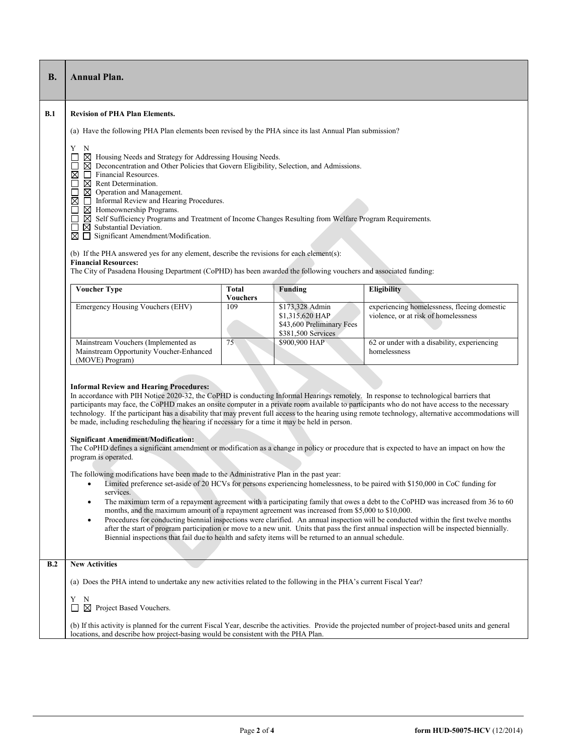| В.  | <b>Annual Plan.</b>                                                                                                                                                                                                                                                                                                                                                                                                                                                                                                                                                                                                                                                                                                                                                                                                                                                                                                                                                                                                                                                                                                                                                                                                                                                                                                                                                                                                                                                                                                                                                                                                                                                                                                          |                                 |                                                                                       |                                                                                     |  |  |  |
|-----|------------------------------------------------------------------------------------------------------------------------------------------------------------------------------------------------------------------------------------------------------------------------------------------------------------------------------------------------------------------------------------------------------------------------------------------------------------------------------------------------------------------------------------------------------------------------------------------------------------------------------------------------------------------------------------------------------------------------------------------------------------------------------------------------------------------------------------------------------------------------------------------------------------------------------------------------------------------------------------------------------------------------------------------------------------------------------------------------------------------------------------------------------------------------------------------------------------------------------------------------------------------------------------------------------------------------------------------------------------------------------------------------------------------------------------------------------------------------------------------------------------------------------------------------------------------------------------------------------------------------------------------------------------------------------------------------------------------------------|---------------------------------|---------------------------------------------------------------------------------------|-------------------------------------------------------------------------------------|--|--|--|
| B.1 | <b>Revision of PHA Plan Elements.</b><br>(a) Have the following PHA Plan elements been revised by the PHA since its last Annual Plan submission?                                                                                                                                                                                                                                                                                                                                                                                                                                                                                                                                                                                                                                                                                                                                                                                                                                                                                                                                                                                                                                                                                                                                                                                                                                                                                                                                                                                                                                                                                                                                                                             |                                 |                                                                                       |                                                                                     |  |  |  |
|     | Y N<br>$\boxtimes$ Housing Needs and Strategy for Addressing Housing Needs.<br>ப<br>$\boxtimes$ Deconcentration and Other Policies that Govern Eligibility, Selection, and Admissions.<br>ப<br>⊠<br>$\Box$ Financial Resources.<br>П<br>$\boxtimes$ Rent Determination.<br>П<br>$\boxtimes$ Operation and Management.<br>$\boxtimes$<br>Informal Review and Hearing Procedures.<br>□<br>$\boxtimes$ Homeownership Programs.<br>⊠ Self Sufficiency Programs and Treatment of Income Changes Resulting from Welfare Program Requirements.<br>П<br>$\boxtimes$ Substantial Deviation.<br>П<br>$\boxtimes \square$ Significant Amendment/Modification.                                                                                                                                                                                                                                                                                                                                                                                                                                                                                                                                                                                                                                                                                                                                                                                                                                                                                                                                                                                                                                                                           |                                 |                                                                                       |                                                                                     |  |  |  |
|     | (b) If the PHA answered yes for any element, describe the revisions for each element(s):<br><b>Financial Resources:</b>                                                                                                                                                                                                                                                                                                                                                                                                                                                                                                                                                                                                                                                                                                                                                                                                                                                                                                                                                                                                                                                                                                                                                                                                                                                                                                                                                                                                                                                                                                                                                                                                      |                                 |                                                                                       |                                                                                     |  |  |  |
|     | The City of Pasadena Housing Department (CoPHD) has been awarded the following vouchers and associated funding:                                                                                                                                                                                                                                                                                                                                                                                                                                                                                                                                                                                                                                                                                                                                                                                                                                                                                                                                                                                                                                                                                                                                                                                                                                                                                                                                                                                                                                                                                                                                                                                                              |                                 |                                                                                       |                                                                                     |  |  |  |
|     | <b>Voucher Type</b>                                                                                                                                                                                                                                                                                                                                                                                                                                                                                                                                                                                                                                                                                                                                                                                                                                                                                                                                                                                                                                                                                                                                                                                                                                                                                                                                                                                                                                                                                                                                                                                                                                                                                                          | <b>Total</b><br><b>Vouchers</b> | <b>Funding</b>                                                                        | <b>Eligibility</b>                                                                  |  |  |  |
|     | <b>Emergency Housing Vouchers (EHV)</b>                                                                                                                                                                                                                                                                                                                                                                                                                                                                                                                                                                                                                                                                                                                                                                                                                                                                                                                                                                                                                                                                                                                                                                                                                                                                                                                                                                                                                                                                                                                                                                                                                                                                                      | 109                             | \$173,328 Admin<br>\$1,315,620 HAP<br>\$43,600 Preliminary Fees<br>\$381,500 Services | experiencing homelessness, fleeing domestic<br>violence, or at risk of homelessness |  |  |  |
|     | Mainstream Vouchers (Implemented as<br>Mainstream Opportunity Voucher-Enhanced<br>(MOVE) Program)                                                                                                                                                                                                                                                                                                                                                                                                                                                                                                                                                                                                                                                                                                                                                                                                                                                                                                                                                                                                                                                                                                                                                                                                                                                                                                                                                                                                                                                                                                                                                                                                                            | 75                              | \$900,900 HAP                                                                         | 62 or under with a disability, experiencing<br>homelessness                         |  |  |  |
|     | <b>Informal Review and Hearing Procedures:</b><br>In accordance with PIH Notice 2020-32, the CoPHD is conducting Informal Hearings remotely. In response to technological barriers that<br>participants may face, the CoPHD makes an onsite computer in a private room available to participants who do not have access to the necessary<br>technology. If the participant has a disability that may prevent full access to the hearing using remote technology, alternative accommodations will<br>be made, including rescheduling the hearing if necessary for a time it may be held in person.<br><b>Significant Amendment/Modification:</b><br>The CoPHD defines a significant amendment or modification as a change in policy or procedure that is expected to have an impact on how the<br>program is operated.<br>The following modifications have been made to the Administrative Plan in the past year:<br>Limited preference set-aside of 20 HCVs for persons experiencing homelessness, to be paired with \$150,000 in CoC funding for<br>$\bullet$<br>services.<br>The maximum term of a repayment agreement with a participating family that owes a debt to the CoPHD was increased from 36 to 60<br>months, and the maximum amount of a repayment agreement was increased from \$5,000 to \$10,000.<br>Procedures for conducting biennial inspections were clarified. An annual inspection will be conducted within the first twelve months<br>$\bullet$<br>after the start of program participation or move to a new unit. Units that pass the first annual inspection will be inspected biennially.<br>Biennial inspections that fail due to health and safety items will be returned to an annual schedule. |                                 |                                                                                       |                                                                                     |  |  |  |
| B.2 | <b>New Activities</b>                                                                                                                                                                                                                                                                                                                                                                                                                                                                                                                                                                                                                                                                                                                                                                                                                                                                                                                                                                                                                                                                                                                                                                                                                                                                                                                                                                                                                                                                                                                                                                                                                                                                                                        |                                 |                                                                                       |                                                                                     |  |  |  |
|     | (a) Does the PHA intend to undertake any new activities related to the following in the PHA's current Fiscal Year?                                                                                                                                                                                                                                                                                                                                                                                                                                                                                                                                                                                                                                                                                                                                                                                                                                                                                                                                                                                                                                                                                                                                                                                                                                                                                                                                                                                                                                                                                                                                                                                                           |                                 |                                                                                       |                                                                                     |  |  |  |
|     | Y<br>N<br>$\boxtimes$ Project Based Vouchers.<br>⊔                                                                                                                                                                                                                                                                                                                                                                                                                                                                                                                                                                                                                                                                                                                                                                                                                                                                                                                                                                                                                                                                                                                                                                                                                                                                                                                                                                                                                                                                                                                                                                                                                                                                           |                                 |                                                                                       |                                                                                     |  |  |  |
|     | (b) If this activity is planned for the current Fiscal Year, describe the activities. Provide the projected number of project-based units and general<br>locations, and describe how project-basing would be consistent with the PHA Plan.                                                                                                                                                                                                                                                                                                                                                                                                                                                                                                                                                                                                                                                                                                                                                                                                                                                                                                                                                                                                                                                                                                                                                                                                                                                                                                                                                                                                                                                                                   |                                 |                                                                                       |                                                                                     |  |  |  |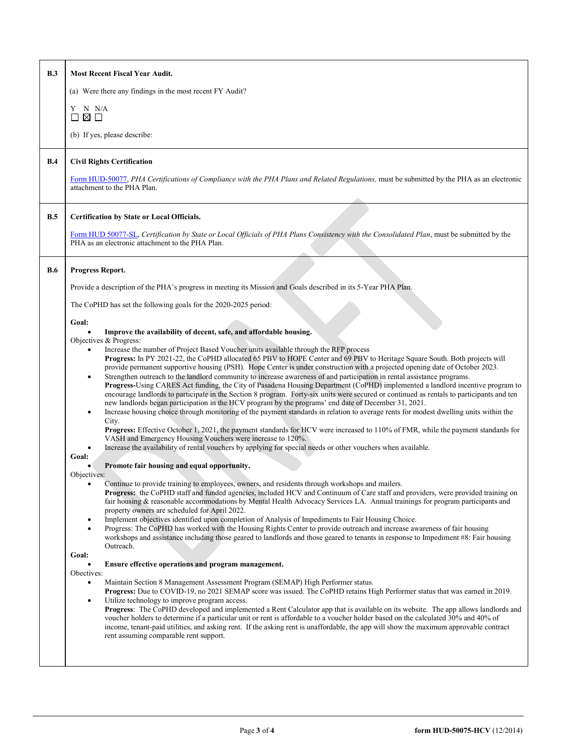| B.3        | <b>Most Recent Fiscal Year Audit.</b>                                                                                                                                                                                                                                                                                                                                                                                                                                                                                                                                                                                                                                                                                                                                                                                                                                                                                                                                                                                                                                                                                                                                                                                                                                                                                                           |  |  |  |  |  |
|------------|-------------------------------------------------------------------------------------------------------------------------------------------------------------------------------------------------------------------------------------------------------------------------------------------------------------------------------------------------------------------------------------------------------------------------------------------------------------------------------------------------------------------------------------------------------------------------------------------------------------------------------------------------------------------------------------------------------------------------------------------------------------------------------------------------------------------------------------------------------------------------------------------------------------------------------------------------------------------------------------------------------------------------------------------------------------------------------------------------------------------------------------------------------------------------------------------------------------------------------------------------------------------------------------------------------------------------------------------------|--|--|--|--|--|
|            | (a) Were there any findings in the most recent FY Audit?                                                                                                                                                                                                                                                                                                                                                                                                                                                                                                                                                                                                                                                                                                                                                                                                                                                                                                                                                                                                                                                                                                                                                                                                                                                                                        |  |  |  |  |  |
|            | N N/A<br>Y                                                                                                                                                                                                                                                                                                                                                                                                                                                                                                                                                                                                                                                                                                                                                                                                                                                                                                                                                                                                                                                                                                                                                                                                                                                                                                                                      |  |  |  |  |  |
|            | ⊠ □<br>П                                                                                                                                                                                                                                                                                                                                                                                                                                                                                                                                                                                                                                                                                                                                                                                                                                                                                                                                                                                                                                                                                                                                                                                                                                                                                                                                        |  |  |  |  |  |
|            | (b) If yes, please describe:                                                                                                                                                                                                                                                                                                                                                                                                                                                                                                                                                                                                                                                                                                                                                                                                                                                                                                                                                                                                                                                                                                                                                                                                                                                                                                                    |  |  |  |  |  |
| B.4        | <b>Civil Rights Certification</b>                                                                                                                                                                                                                                                                                                                                                                                                                                                                                                                                                                                                                                                                                                                                                                                                                                                                                                                                                                                                                                                                                                                                                                                                                                                                                                               |  |  |  |  |  |
|            | Form HUD-50077, PHA Certifications of Compliance with the PHA Plans and Related Regulations, must be submitted by the PHA as an electronic<br>attachment to the PHA Plan.                                                                                                                                                                                                                                                                                                                                                                                                                                                                                                                                                                                                                                                                                                                                                                                                                                                                                                                                                                                                                                                                                                                                                                       |  |  |  |  |  |
| B.5        | <b>Certification by State or Local Officials.</b>                                                                                                                                                                                                                                                                                                                                                                                                                                                                                                                                                                                                                                                                                                                                                                                                                                                                                                                                                                                                                                                                                                                                                                                                                                                                                               |  |  |  |  |  |
|            | Form HUD 50077-SL, Certification by State or Local Officials of PHA Plans Consistency with the Consolidated Plan, must be submitted by the<br>PHA as an electronic attachment to the PHA Plan.                                                                                                                                                                                                                                                                                                                                                                                                                                                                                                                                                                                                                                                                                                                                                                                                                                                                                                                                                                                                                                                                                                                                                  |  |  |  |  |  |
| <b>B.6</b> | <b>Progress Report.</b>                                                                                                                                                                                                                                                                                                                                                                                                                                                                                                                                                                                                                                                                                                                                                                                                                                                                                                                                                                                                                                                                                                                                                                                                                                                                                                                         |  |  |  |  |  |
|            | Provide a description of the PHA's progress in meeting its Mission and Goals described in its 5-Year PHA Plan.                                                                                                                                                                                                                                                                                                                                                                                                                                                                                                                                                                                                                                                                                                                                                                                                                                                                                                                                                                                                                                                                                                                                                                                                                                  |  |  |  |  |  |
|            | The CoPHD has set the following goals for the 2020-2025 period:                                                                                                                                                                                                                                                                                                                                                                                                                                                                                                                                                                                                                                                                                                                                                                                                                                                                                                                                                                                                                                                                                                                                                                                                                                                                                 |  |  |  |  |  |
|            | Goal:                                                                                                                                                                                                                                                                                                                                                                                                                                                                                                                                                                                                                                                                                                                                                                                                                                                                                                                                                                                                                                                                                                                                                                                                                                                                                                                                           |  |  |  |  |  |
|            | Improve the availability of decent, safe, and affordable housing.<br>Objectives & Progress:                                                                                                                                                                                                                                                                                                                                                                                                                                                                                                                                                                                                                                                                                                                                                                                                                                                                                                                                                                                                                                                                                                                                                                                                                                                     |  |  |  |  |  |
|            | Increase the number of Project Based Voucher units available through the RFP process<br>Progress: In PY 2021-22, the CoPHD allocated 65 PBV to HOPE Center and 69 PBV to Heritage Square South. Both projects will<br>provide permanent supportive housing (PSH). Hope Center is under construction with a projected opening date of October 2023.<br>Strengthen outreach to the landlord community to increase awareness of and participation in rental assistance programs.<br>Progress-Using CARES Act funding, the City of Pasadena Housing Department (CoPHD) implemented a landlord incentive program to<br>encourage landlords to participate in the Section 8 program. Forty-six units were secured or continued as rentals to participants and ten<br>new landlords began participation in the HCV program by the programs' end date of December 31, 2021.<br>Increase housing choice through monitoring of the payment standards in relation to average rents for modest dwelling units within the<br>City.<br><b>Progress:</b> Effective October 1, 2021, the payment standards for HCV were increased to 110% of FMR, while the payment standards for<br>VASH and Emergency Housing Vouchers were increase to 120%.<br>Increase the availability of rental vouchers by applying for special needs or other vouchers when available. |  |  |  |  |  |
|            | Goal:<br>Promote fair housing and equal opportunity.                                                                                                                                                                                                                                                                                                                                                                                                                                                                                                                                                                                                                                                                                                                                                                                                                                                                                                                                                                                                                                                                                                                                                                                                                                                                                            |  |  |  |  |  |
|            | Objectives:<br>Continue to provide training to employees, owners, and residents through workshops and mailers.<br><b>Progress:</b> the CoPHD staff and funded agencies, included HCV and Continuum of Care staff and providers, were provided training on<br>fair housing & reasonable accommodations by Mental Health Advocacy Services LA. Annual trainings for program participants and<br>property owners are scheduled for April 2022.<br>Implement objectives identified upon completion of Analysis of Impediments to Fair Housing Choice.<br>٠<br>Progress: The CoPHD has worked with the Housing Rights Center to provide outreach and increase awareness of fair housing<br>٠<br>workshops and assistance including those geared to landlords and those geared to tenants in response to Impediment #8: Fair housing<br>Outreach.                                                                                                                                                                                                                                                                                                                                                                                                                                                                                                     |  |  |  |  |  |
|            | Goal:<br><b>Ensure effective operations and program management.</b>                                                                                                                                                                                                                                                                                                                                                                                                                                                                                                                                                                                                                                                                                                                                                                                                                                                                                                                                                                                                                                                                                                                                                                                                                                                                             |  |  |  |  |  |
|            | Obectives:<br>Maintain Section 8 Management Assessment Program (SEMAP) High Performer status.                                                                                                                                                                                                                                                                                                                                                                                                                                                                                                                                                                                                                                                                                                                                                                                                                                                                                                                                                                                                                                                                                                                                                                                                                                                   |  |  |  |  |  |
|            | Progress: Due to COVID-19, no 2021 SEMAP score was issued. The CoPHD retains High Performer status that was earned in 2019.                                                                                                                                                                                                                                                                                                                                                                                                                                                                                                                                                                                                                                                                                                                                                                                                                                                                                                                                                                                                                                                                                                                                                                                                                     |  |  |  |  |  |
|            | Utilize technology to improve program access.<br>٠<br>Progress: The CoPHD developed and implemented a Rent Calculator app that is available on its website. The app allows landlords and<br>voucher holders to determine if a particular unit or rent is affordable to a voucher holder based on the calculated 30% and 40% of<br>income, tenant-paid utilities, and asking rent. If the asking rent is unaffordable, the app will show the maximum approvable contract<br>rent assuming comparable rent support.                                                                                                                                                                                                                                                                                                                                                                                                                                                                                                                                                                                                                                                                                                                                                                                                                               |  |  |  |  |  |
|            |                                                                                                                                                                                                                                                                                                                                                                                                                                                                                                                                                                                                                                                                                                                                                                                                                                                                                                                                                                                                                                                                                                                                                                                                                                                                                                                                                 |  |  |  |  |  |